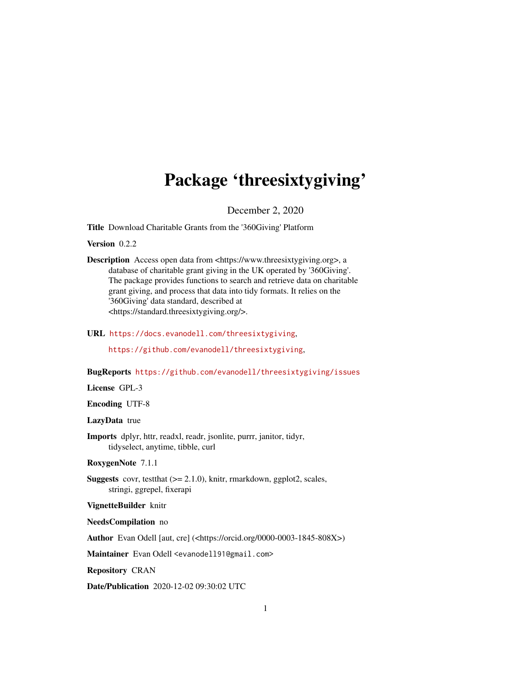## Package 'threesixtygiving'

December 2, 2020

Title Download Charitable Grants from the '360Giving' Platform

Version 0.2.2

Description Access open data from <https://www.threesixtygiving.org>, a database of charitable grant giving in the UK operated by '360Giving'. The package provides functions to search and retrieve data on charitable grant giving, and process that data into tidy formats. It relies on the '360Giving' data standard, described at <https://standard.threesixtygiving.org/>.

URL <https://docs.evanodell.com/threesixtygiving>,

<https://github.com/evanodell/threesixtygiving>,

BugReports <https://github.com/evanodell/threesixtygiving/issues>

License GPL-3

Encoding UTF-8

LazyData true

Imports dplyr, httr, readxl, readr, jsonlite, purrr, janitor, tidyr, tidyselect, anytime, tibble, curl

RoxygenNote 7.1.1

Suggests covr, testthat (>= 2.1.0), knitr, rmarkdown, ggplot2, scales, stringi, ggrepel, fixerapi

VignetteBuilder knitr

NeedsCompilation no

Author Evan Odell [aut, cre] (<https://orcid.org/0000-0003-1845-808X>)

Maintainer Evan Odell <evanodell91@gmail.com>

Repository CRAN

Date/Publication 2020-12-02 09:30:02 UTC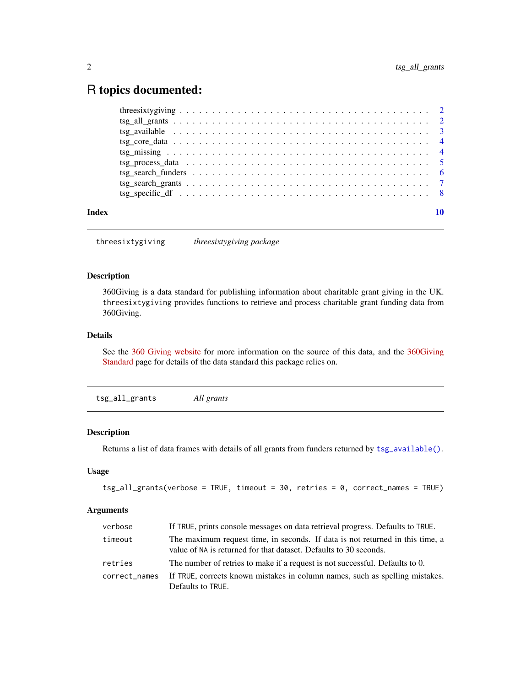### <span id="page-1-0"></span>R topics documented:

| Index |  |
|-------|--|
|       |  |
|       |  |
|       |  |
|       |  |
|       |  |
|       |  |
|       |  |
|       |  |
|       |  |

threesixtygiving *threesixtygiving package*

#### Description

360Giving is a data standard for publishing information about charitable grant giving in the UK. threesixtygiving provides functions to retrieve and process charitable grant funding data from 360Giving.

#### Details

See the [360 Giving website](https://www.threesixtygiving.org/) for more information on the source of this data, and the [360Giving](https://standard.threesixtygiving.org) [Standard](https://standard.threesixtygiving.org) page for details of the data standard this package relies on.

<span id="page-1-1"></span>tsg\_all\_grants *All grants*

#### Description

Returns a list of data frames with details of all grants from funders returned by [tsg\\_available\(\)](#page-2-1).

#### Usage

```
tsg_all_grants(verbose = TRUE, timeout = 30, retries = 0, correct_names = TRUE)
```
#### Arguments

| verbose       | If TRUE, prints console messages on data retrieval progress. Defaults to TRUE.                                                                     |
|---------------|----------------------------------------------------------------------------------------------------------------------------------------------------|
| timeout       | The maximum request time, in seconds. If data is not returned in this time, a<br>value of NA is returned for that dataset. Defaults to 30 seconds. |
| retries       | The number of retries to make if a request is not successful. Defaults to 0.                                                                       |
| correct names | If TRUE, corrects known mistakes in column names, such as spelling mistakes.<br>Defaults to TRUE.                                                  |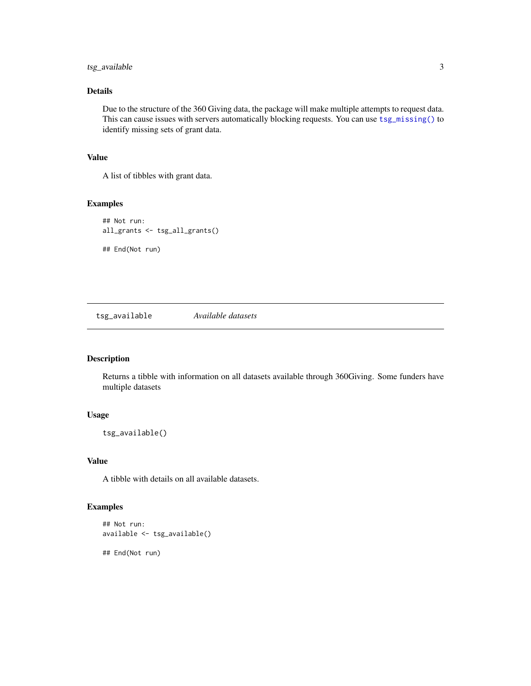#### <span id="page-2-0"></span>tsg\_available 3

#### Details

Due to the structure of the 360 Giving data, the package will make multiple attempts to request data. This can cause issues with servers automatically blocking requests. You can use [tsg\\_missing\(\)](#page-3-1) to identify missing sets of grant data.

#### Value

A list of tibbles with grant data.

#### Examples

```
## Not run:
all_grants <- tsg_all_grants()
## End(Not run)
```
<span id="page-2-1"></span>tsg\_available *Available datasets*

#### Description

Returns a tibble with information on all datasets available through 360Giving. Some funders have multiple datasets

#### Usage

tsg\_available()

#### Value

A tibble with details on all available datasets.

#### Examples

```
## Not run:
available <- tsg_available()
```
## End(Not run)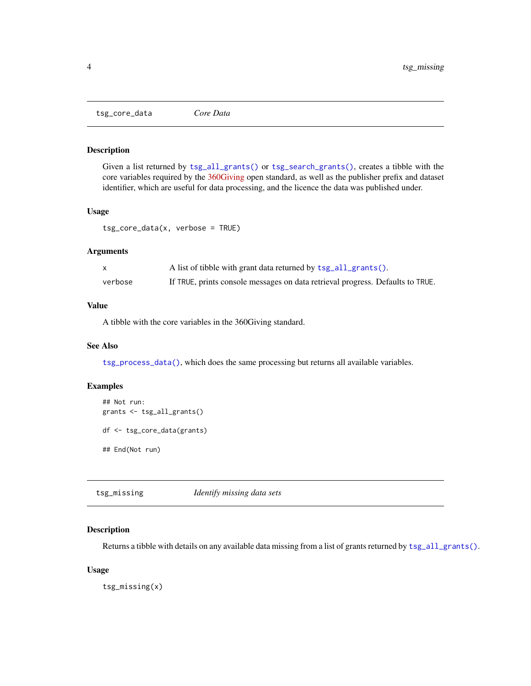<span id="page-3-2"></span><span id="page-3-0"></span>tsg\_core\_data *Core Data*

#### Description

Given a list returned by [tsg\\_all\\_grants\(\)](#page-1-1) or [tsg\\_search\\_grants\(\)](#page-6-1), creates a tibble with the core variables required by the [360Giving](https://standard.threesixtygiving.org/en/latest/) open standard, as well as the publisher prefix and dataset identifier, which are useful for data processing, and the licence the data was published under.

#### Usage

tsg\_core\_data(x, verbose = TRUE)

#### Arguments

|         | A list of tibble with grant data returned by tsg_all_grants().                 |
|---------|--------------------------------------------------------------------------------|
| verbose | If TRUE, prints console messages on data retrieval progress. Defaults to TRUE. |

#### Value

A tibble with the core variables in the 360Giving standard.

#### See Also

[tsg\\_process\\_data\(\)](#page-4-1), which does the same processing but returns all available variables.

#### Examples

```
## Not run:
grants <- tsg_all_grants()
df <- tsg_core_data(grants)
## End(Not run)
```
<span id="page-3-1"></span>tsg\_missing *Identify missing data sets*

#### Description

Returns a tibble with details on any available data missing from a list of grants returned by [tsg\\_all\\_grants\(\)](#page-1-1).

#### Usage

tsg\_missing(x)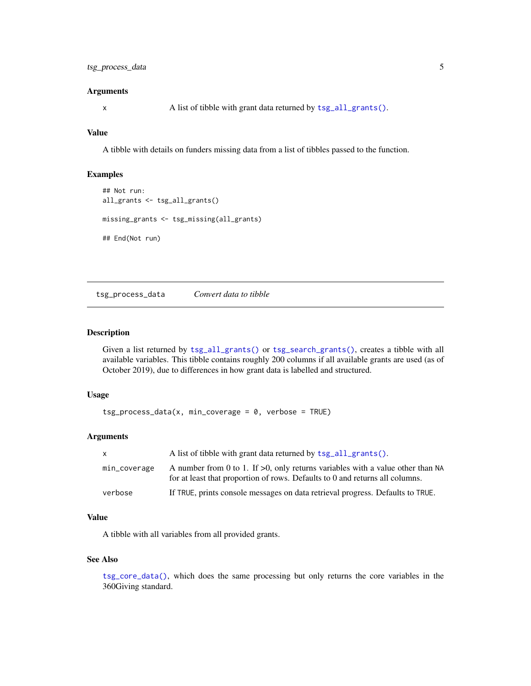#### <span id="page-4-0"></span>**Arguments**

x A list of tibble with grant data returned by [tsg\\_all\\_grants\(\)](#page-1-1).

#### Value

A tibble with details on funders missing data from a list of tibbles passed to the function.

#### Examples

```
## Not run:
all_grants <- tsg_all_grants()
missing_grants <- tsg_missing(all_grants)
## End(Not run)
```
<span id="page-4-1"></span>tsg\_process\_data *Convert data to tibble*

#### Description

Given a list returned by [tsg\\_all\\_grants\(\)](#page-1-1) or [tsg\\_search\\_grants\(\)](#page-6-1), creates a tibble with all available variables. This tibble contains roughly 200 columns if all available grants are used (as of October 2019), due to differences in how grant data is labelled and structured.

#### Usage

```
tsg\_process\_data(x, min\_coverage = 0, verbose = TRUE)
```
#### **Arguments**

| X            | A list of tibble with grant data returned by tsg_all_grants().                                                                                                    |
|--------------|-------------------------------------------------------------------------------------------------------------------------------------------------------------------|
| min_coverage | A number from 0 to 1. If $>0$ , only returns variables with a value other than NA<br>for at least that proportion of rows. Defaults to 0 and returns all columns. |
| verbose      | If TRUE, prints console messages on data retrieval progress. Defaults to TRUE.                                                                                    |

#### Value

A tibble with all variables from all provided grants.

#### See Also

[tsg\\_core\\_data\(\)](#page-3-2), which does the same processing but only returns the core variables in the 360Giving standard.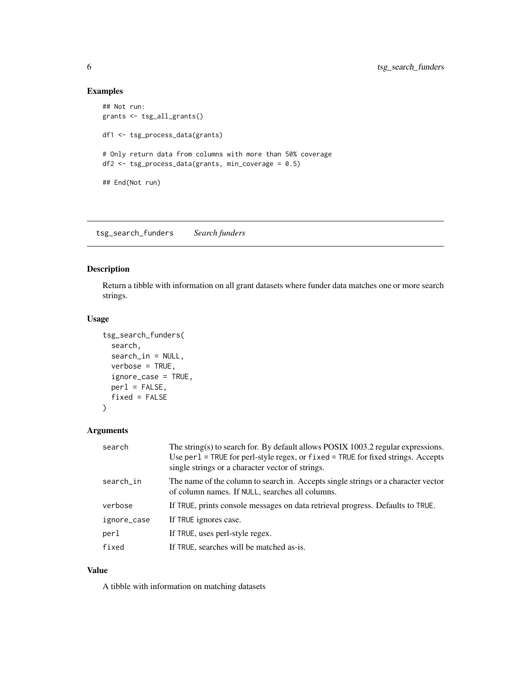#### Examples

```
## Not run:
grants <- tsg_all_grants()
df1 <- tsg_process_data(grants)
# Only return data from columns with more than 50% coverage
df2 <- tsg_process_data(grants, min_coverage = 0.5)
## End(Not run)
```
<span id="page-5-1"></span>tsg\_search\_funders *Search funders*

#### Description

Return a tibble with information on all grant datasets where funder data matches one or more search strings.

#### Usage

```
tsg_search_funders(
  search,
  search_in = NULL,
  verbose = TRUE,
  ignore_case = TRUE,
 per1 = FALSE,fixed = FALSE
)
```
#### Arguments

| search      | The string(s) to search for. By default allows POSIX $1003.2$ regular expressions.<br>Use per 1 = TRUE for perl-style regex, or fixed = TRUE for fixed strings. Accepts<br>single strings or a character vector of strings. |
|-------------|-----------------------------------------------------------------------------------------------------------------------------------------------------------------------------------------------------------------------------|
| search_in   | The name of the column to search in. Accepts single strings or a character vector<br>of column names. If NULL, searches all columns.                                                                                        |
| verbose     | If TRUE, prints console messages on data retrieval progress. Defaults to TRUE.                                                                                                                                              |
| ignore_case | If TRUE ignores case.                                                                                                                                                                                                       |
| perl        | If TRUE, uses perl-style regex.                                                                                                                                                                                             |
| fixed       | If TRUE, searches will be matched as-is.                                                                                                                                                                                    |

#### Value

A tibble with information on matching datasets

<span id="page-5-0"></span>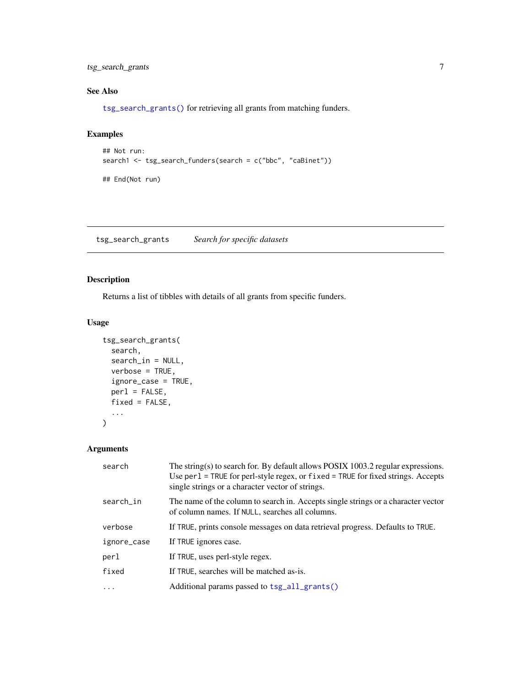<span id="page-6-0"></span>tsg\_search\_grants 7

#### See Also

[tsg\\_search\\_grants\(\)](#page-6-1) for retrieving all grants from matching funders.

#### Examples

```
## Not run:
search1 <- tsg_search_funders(search = c("bbc", "caBinet"))
## End(Not run)
```
<span id="page-6-1"></span>tsg\_search\_grants *Search for specific datasets*

#### Description

Returns a list of tibbles with details of all grants from specific funders.

#### Usage

```
tsg_search_grants(
  search,
  search_in = NULL,
 verbose = TRUE,
  ignore_case = TRUE,
 perl = FALSE,
 fixed = FALSE,
  ...
)
```
#### Arguments

| The string(s) to search for. By default allows POSIX $1003.2$ regular expressions.<br>Use $per1$ = TRUE for perl-style regex, or fixed = TRUE for fixed strings. Accepts<br>single strings or a character vector of strings. |
|------------------------------------------------------------------------------------------------------------------------------------------------------------------------------------------------------------------------------|
| The name of the column to search in. Accepts single strings or a character vector<br>of column names. If NULL, searches all columns.                                                                                         |
| If TRUE, prints console messages on data retrieval progress. Defaults to TRUE.                                                                                                                                               |
| If TRUE ignores case.                                                                                                                                                                                                        |
| If TRUE, uses perl-style regex.                                                                                                                                                                                              |
| If TRUE, searches will be matched as-is.                                                                                                                                                                                     |
| Additional params passed to tsg_all_grants()                                                                                                                                                                                 |
|                                                                                                                                                                                                                              |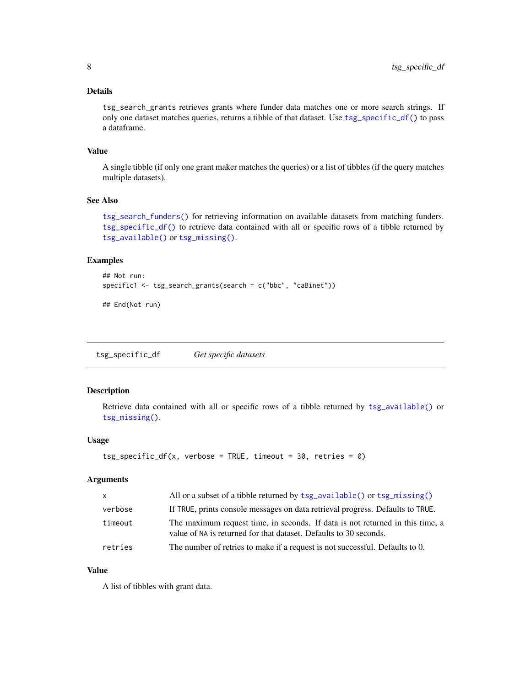#### <span id="page-7-0"></span>Details

tsg\_search\_grants retrieves grants where funder data matches one or more search strings. If only one dataset matches queries, returns a tibble of that dataset. Use [tsg\\_specific\\_df\(\)](#page-7-1) to pass a dataframe.

#### Value

A single tibble (if only one grant maker matches the queries) or a list of tibbles (if the query matches multiple datasets).

#### See Also

[tsg\\_search\\_funders\(\)](#page-5-1) for retrieving information on available datasets from matching funders. [tsg\\_specific\\_df\(\)](#page-7-1) to retrieve data contained with all or specific rows of a tibble returned by [tsg\\_available\(\)](#page-2-1) or [tsg\\_missing\(\)](#page-3-1).

#### Examples

```
## Not run:
specific1 <- tsg_search_grants(search = c("bbc", "caBinet"))
```
## End(Not run)

<span id="page-7-1"></span>tsg\_specific\_df *Get specific datasets*

#### Description

Retrieve data contained with all or specific rows of a tibble returned by [tsg\\_available\(\)](#page-2-1) or [tsg\\_missing\(\)](#page-3-1).

#### Usage

```
tsg\_specific\_df(x, verbose = TRUE, timeout = 30, retries = 0)
```
#### Arguments

| $\mathsf{X}$ | All or a subset of a tibble returned by tsg_available() or tsg_missing()                                                                           |
|--------------|----------------------------------------------------------------------------------------------------------------------------------------------------|
| verbose      | If TRUE, prints console messages on data retrieval progress. Defaults to TRUE.                                                                     |
| timeout      | The maximum request time, in seconds. If data is not returned in this time, a<br>value of NA is returned for that dataset. Defaults to 30 seconds. |
| retries      | The number of retries to make if a request is not successful. Defaults to 0.                                                                       |

#### Value

A list of tibbles with grant data.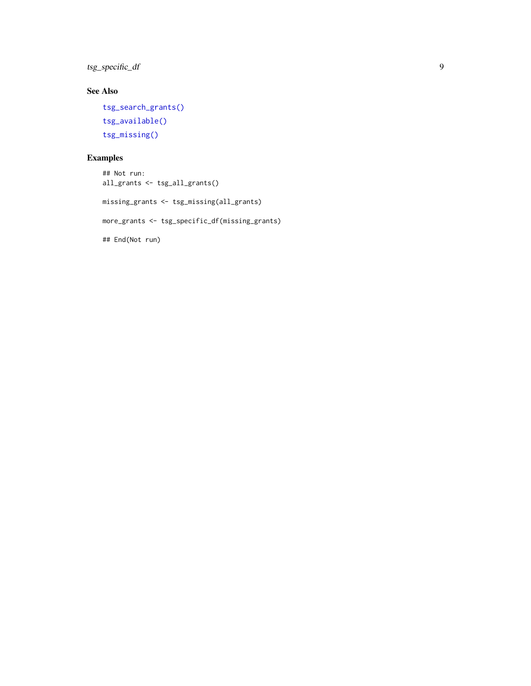<span id="page-8-0"></span>tsg\_specific\_df 9

#### See Also

```
tsg_search_grants()
tsg_available()
tsg_missing()
```
#### Examples

```
## Not run:
all_grants <- tsg_all_grants()
missing_grants <- tsg_missing(all_grants)
more_grants <- tsg_specific_df(missing_grants)
## End(Not run)
```